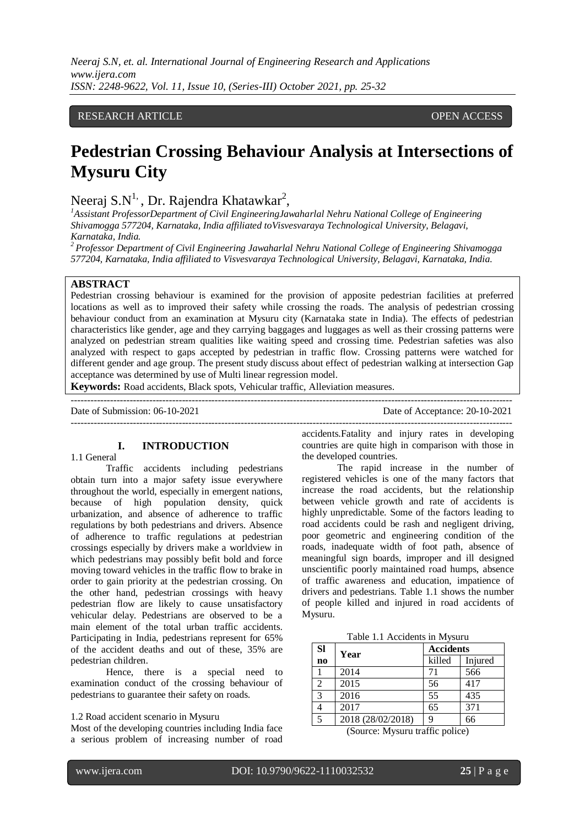## RESEARCH ARTICLE **CONSERVERS** OPEN ACCESS

# **Pedestrian Crossing Behaviour Analysis at Intersections of Mysuru City**

## Neeraj S.N<sup>1,</sup>, Dr. Rajendra Khatawkar<sup>2</sup>,

*<sup>1</sup>Assistant ProfessorDepartment of Civil EngineeringJawaharlal Nehru National College of Engineering Shivamogga 577204, Karnataka, India affiliated toVisvesvaraya Technological University, Belagavi, Karnataka, India.*

*<sup>2</sup>Professor Department of Civil Engineering Jawaharlal Nehru National College of Engineering Shivamogga 577204, Karnataka, India affiliated to Visvesvaraya Technological University, Belagavi, Karnataka, India.*

## **ABSTRACT**

Pedestrian crossing behaviour is examined for the provision of apposite pedestrian facilities at preferred locations as well as to improved their safety while crossing the roads. The analysis of pedestrian crossing behaviour conduct from an examination at Mysuru city (Karnataka state in India). The effects of pedestrian characteristics like gender, age and they carrying baggages and luggages as well as their crossing patterns were analyzed on pedestrian stream qualities like waiting speed and crossing time. Pedestrian safeties was also analyzed with respect to gaps accepted by pedestrian in traffic flow. Crossing patterns were watched for different gender and age group. The present study discuss about effect of pedestrian walking at intersection Gap acceptance was determined by use of Multi linear regression model.

**Keywords:** Road accidents, Black spots, Vehicular traffic, Alleviation measures.

--------------------------------------------------------------------------------------------------------------------------------------- Date of Submission: 06-10-2021 Date of Acceptance: 20-10-2021 ---------------------------------------------------------------------------------------------------------------------------------------

## **I. INTRODUCTION**

#### 1.1 General

Traffic accidents including pedestrians obtain turn into a major safety issue everywhere throughout the world, especially in emergent nations, because of high population density, quick urbanization, and absence of adherence to traffic regulations by both pedestrians and drivers. Absence of adherence to traffic regulations at pedestrian crossings especially by drivers make a worldview in which pedestrians may possibly befit bold and force moving toward vehicles in the traffic flow to brake in order to gain priority at the pedestrian crossing. On the other hand, pedestrian crossings with heavy pedestrian flow are likely to cause unsatisfactory vehicular delay. Pedestrians are observed to be a main element of the total urban traffic accidents. Participating in India, pedestrians represent for 65% of the accident deaths and out of these, 35% are pedestrian children.

Hence, there is a special need to examination conduct of the crossing behaviour of pedestrians to guarantee their safety on roads.

#### 1.2 Road accident scenario in Mysuru

Most of the developing countries including India face a serious problem of increasing number of road

accidents.Fatality and injury rates in developing countries are quite high in comparison with those in the developed countries.

The rapid increase in the number of registered vehicles is one of the many factors that increase the road accidents, but the relationship between vehicle growth and rate of accidents is highly unpredictable. Some of the factors leading to road accidents could be rash and negligent driving, poor geometric and engineering condition of the roads, inadequate width of foot path, absence of meaningful sign boards, improper and ill designed unscientific poorly maintained road humps, absence of traffic awareness and education, impatience of drivers and pedestrians. Table 1.1 shows the number of people killed and injured in road accidents of Mysuru.

Table 1.1 Accidents in Mysuru

| <b>SI</b>              | Year              | <b>Accidents</b> |         |  |
|------------------------|-------------------|------------------|---------|--|
| $\mathbf{n}\mathbf{o}$ |                   | killed           | Injured |  |
|                        | 2014              | 71               | 566     |  |
| 2                      | 2015              | 56               | 417     |  |
| 3                      | 2016              | 55               | 435     |  |
|                        | 2017              | 65               | 371     |  |
| 5                      | 2018 (28/02/2018) | q                | 66      |  |

(Source: Mysuru traffic police)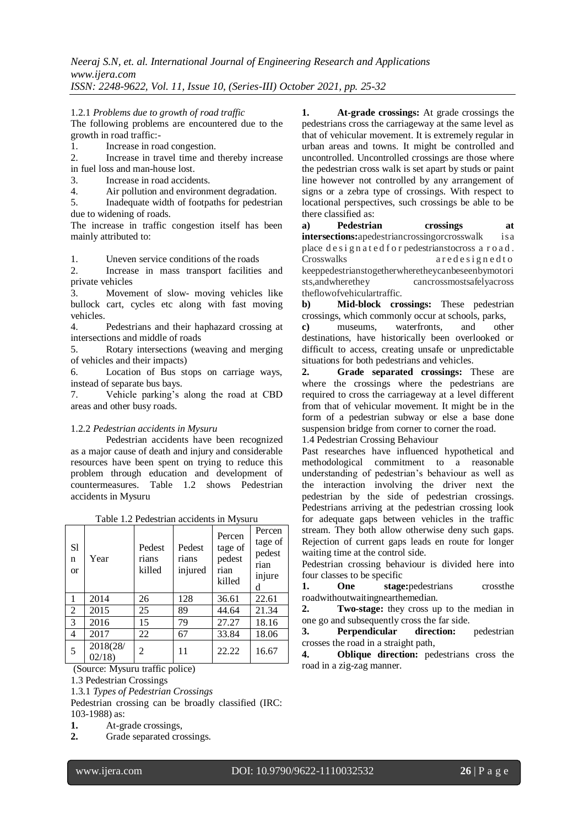#### 1.2.1 *Problems due to growth of road traffic*

The following problems are encountered due to the growth in road traffic:-

1. Increase in road congestion.

2. Increase in travel time and thereby increase in fuel loss and man-house lost.

- 3. Increase in road accidents.
- 4. Air pollution and environment degradation.

5. Inadequate width of footpaths for pedestrian due to widening of roads.

The increase in traffic congestion itself has been mainly attributed to:

1. Uneven service conditions of the roads

2. Increase in mass transport facilities and private vehicles

3. Movement of slow- moving vehicles like bullock cart, cycles etc along with fast moving vehicles.

4. Pedestrians and their haphazard crossing at intersections and middle of roads

5. Rotary intersections (weaving and merging of vehicles and their impacts)

6. Location of Bus stops on carriage ways, instead of separate bus bays.

7. Vehicle parking's along the road at CBD areas and other busy roads.

#### 1.2.2 *Pedestrian accidents in Mysuru*

Pedestrian accidents have been recognized as a major cause of death and injury and considerable resources have been spent on trying to reduce this problem through education and development of countermeasures. Table 1.2 shows Pedestrian accidents in Mysuru

| ruole 1.2 I eucodikin ueeluento III III jouru |                   |                           |                            |                                               |                                                    |  |
|-----------------------------------------------|-------------------|---------------------------|----------------------------|-----------------------------------------------|----------------------------------------------------|--|
| S1<br>n<br><b>or</b>                          | Year              | Pedest<br>rians<br>killed | Pedest<br>rians<br>injured | Percen<br>tage of<br>pedest<br>rian<br>killed | Percen<br>tage of<br>pedest<br>rian<br>injure<br>d |  |
| 1                                             | 2014              | 26                        | 128                        | 36.61                                         | 22.61                                              |  |
| 2                                             | 2015              | 25                        | 89                         | 44.64                                         | 21.34                                              |  |
| 3                                             | 2016              | 15                        | 79                         | 27.27                                         | 18.16                                              |  |
| $\overline{4}$                                | 2017              | 22                        | 67                         | 33.84                                         | 18.06                                              |  |
| 5                                             | 2018(28/<br>02/18 | 2                         | 11                         | 22.22                                         | 16.67                                              |  |

(Source: Mysuru traffic police)

1.3 Pedestrian Crossings

1.3.1 *Types of Pedestrian Crossings* 

Pedestrian crossing can be broadly classified (IRC: 103-1988) as:

**1.** At-grade crossings,

**2.** Grade separated crossings.

**1. At-grade crossings:** At grade crossings the pedestrians cross the carriageway at the same level as that of vehicular movement. It is extremely regular in urban areas and towns. It might be controlled and uncontrolled. Uncontrolled crossings are those where the pedestrian cross walk is set apart by studs or paint line however not controlled by any arrangement of signs or a zebra type of crossings. With respect to locational perspectives, such crossings be able to be there classified as:

**a) Pedestrian crossings at intersections:**apedestriancrossingorcrosswalk is a place d e s i g n a t e d for pedestrianstocross a r o a d . Crosswalks a redesigned to keeppedestrianstogetherwheretheycanbeseenbymotori sts,andwherethey cancrossmostsafelyacross theflowofvehiculartraffic.

**b) Mid-block crossings:** These pedestrian crossings, which commonly occur at schools, parks,

**c)** museums, waterfronts, and other destinations, have historically been overlooked or difficult to access, creating unsafe or unpredictable situations for both pedestrians and vehicles.

**2. Grade separated crossings:** These are where the crossings where the pedestrians are required to cross the carriageway at a level different from that of vehicular movement. It might be in the form of a pedestrian subway or else a base done suspension bridge from corner to corner the road.

1.4 Pedestrian Crossing Behaviour

Past researches have influenced hypothetical and methodological commitment to a reasonable understanding of pedestrian's behaviour as well as the interaction involving the driver next the pedestrian by the side of pedestrian crossings. Pedestrians arriving at the pedestrian crossing look for adequate gaps between vehicles in the traffic stream. They both allow otherwise deny such gaps. Rejection of current gaps leads en route for longer waiting time at the control side.

Pedestrian crossing behaviour is divided here into four classes to be specific

**1. One stage:**pedestrians crossthe roadwithoutwaitingnearthemedian.

**2. Two-stage:** they cross up to the median in one go and subsequently cross the far side.

**3. Perpendicular direction:** pedestrian crosses the road in a straight path,

**4. Oblique direction:** pedestrians cross the road in a zig-zag manner.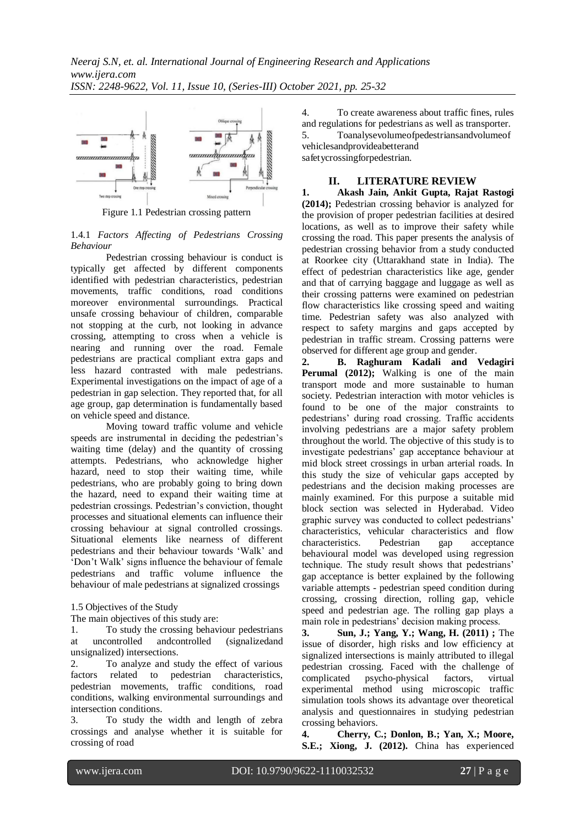

Figure 1.1 Pedestrian crossing pattern

#### 1.4.1 *Factors Affecting of Pedestrians Crossing Behaviour*

Pedestrian crossing behaviour is conduct is typically get affected by different components identified with pedestrian characteristics, pedestrian movements, traffic conditions, road conditions moreover environmental surroundings. Practical unsafe crossing behaviour of children, comparable not stopping at the curb, not looking in advance crossing, attempting to cross when a vehicle is nearing and running over the road. Female pedestrians are practical compliant extra gaps and less hazard contrasted with male pedestrians. Experimental investigations on the impact of age of a pedestrian in gap selection. They reported that, for all age group, gap determination is fundamentally based on vehicle speed and distance.

Moving toward traffic volume and vehicle speeds are instrumental in deciding the pedestrian's waiting time (delay) and the quantity of crossing attempts. Pedestrians, who acknowledge higher hazard, need to stop their waiting time, while pedestrians, who are probably going to bring down the hazard, need to expand their waiting time at pedestrian crossings. Pedestrian's conviction, thought processes and situational elements can influence their crossing behaviour at signal controlled crossings. Situational elements like nearness of different pedestrians and their behaviour towards 'Walk' and 'Don't Walk' signs influence the behaviour of female pedestrians and traffic volume influence the behaviour of male pedestrians at signalized crossings

1.5 Objectives of the Study

The main objectives of this study are:

1. To study the crossing behaviour pedestrians at uncontrolled andcontrolled (signalizedand unsignalized) intersections.

2. To analyze and study the effect of various factors related to pedestrian characteristics, pedestrian movements, traffic conditions, road conditions, walking environmental surroundings and intersection conditions.

3. To study the width and length of zebra crossings and analyse whether it is suitable for crossing of road

4. To create awareness about traffic fines, rules and regulations for pedestrians as well as transporter. 5. Toanalysevolumeofpedestriansandvolumeof vehiclesandprovideabetterand safetycrossingforpedestrian.

## **II. LITERATURE REVIEW**

**1. Akash Jain, Ankit Gupta, Rajat Rastogi (2014);** Pedestrian crossing behavior is analyzed for the provision of proper pedestrian facilities at desired locations, as well as to improve their safety while crossing the road. This paper presents the analysis of pedestrian crossing behavior from a study conducted at Roorkee city (Uttarakhand state in India). The effect of pedestrian characteristics like age, gender and that of carrying baggage and luggage as well as their crossing patterns were examined on pedestrian flow characteristics like crossing speed and waiting time. Pedestrian safety was also analyzed with respect to safety margins and gaps accepted by pedestrian in traffic stream. Crossing patterns were observed for different age group and gender.

**2. B. Raghuram Kadali and Vedagiri**  Perumal (2012); Walking is one of the main transport mode and more sustainable to human society. Pedestrian interaction with motor vehicles is found to be one of the major constraints to pedestrians' during road crossing. Traffic accidents involving pedestrians are a major safety problem throughout the world. The objective of this study is to investigate pedestrians' gap acceptance behaviour at mid block street crossings in urban arterial roads. In this study the size of vehicular gaps accepted by pedestrians and the decision making processes are mainly examined. For this purpose a suitable mid block section was selected in Hyderabad. Video graphic survey was conducted to collect pedestrians' characteristics, vehicular characteristics and flow characteristics. Pedestrian gap acceptance behavioural model was developed using regression technique. The study result shows that pedestrians' gap acceptance is better explained by the following variable attempts - pedestrian speed condition during crossing, crossing direction, rolling gap, vehicle speed and pedestrian age. The rolling gap plays a main role in pedestrians' decision making process.

**3. Sun, J.; Yang, Y.; Wang, H. (2011) ;** The issue of disorder, high risks and low efficiency at signalized intersections is mainly attributed to illegal pedestrian crossing. Faced with the challenge of complicated psycho-physical factors, virtual experimental method using microscopic traffic simulation tools shows its advantage over theoretical analysis and questionnaires in studying pedestrian crossing behaviors.

**4. Cherry, C.; Donlon, B.; Yan, X.; Moore, S.E.; Xiong, J. (2012).** China has experienced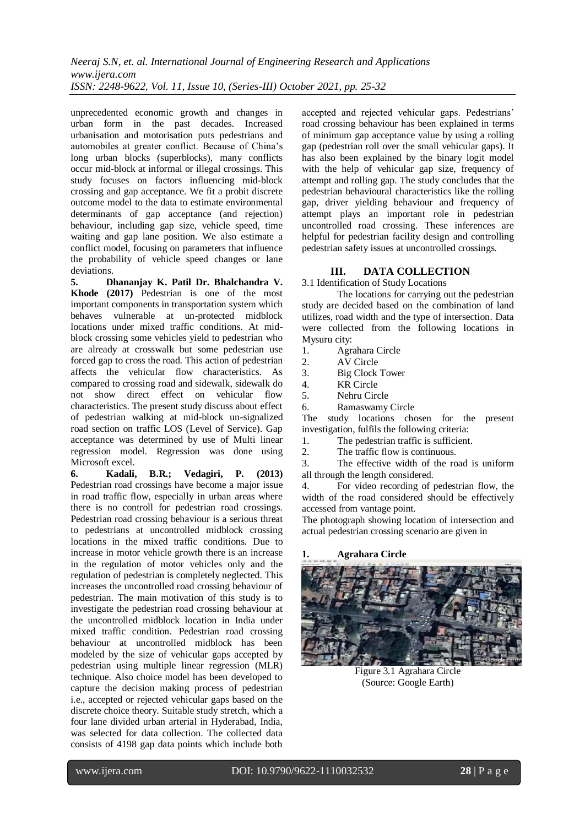unprecedented economic growth and changes in urban form in the past decades. Increased urbanisation and motorisation puts pedestrians and automobiles at greater conflict. Because of China's long urban blocks (superblocks), many conflicts occur mid-block at informal or illegal crossings. This study focuses on factors influencing mid-block crossing and gap acceptance. We fit a probit discrete outcome model to the data to estimate environmental determinants of gap acceptance (and rejection) behaviour, including gap size, vehicle speed, time waiting and gap lane position. We also estimate a conflict model, focusing on parameters that influence the probability of vehicle speed changes or lane deviations.

**5. Dhananjay K. Patil Dr. Bhalchandra V. Khode (2017)** Pedestrian is one of the most important components in transportation system which behaves vulnerable at un-protected midblock locations under mixed traffic conditions. At midblock crossing some vehicles yield to pedestrian who are already at crosswalk but some pedestrian use forced gap to cross the road. This action of pedestrian affects the vehicular flow characteristics. As compared to crossing road and sidewalk, sidewalk do not show direct effect on vehicular flow characteristics. The present study discuss about effect of pedestrian walking at mid-block un-signalized road section on traffic LOS (Level of Service). Gap acceptance was determined by use of Multi linear regression model. Regression was done using Microsoft excel.

**6. Kadali, B.R.; Vedagiri, P. (2013)**  Pedestrian road crossings have become a major issue in road traffic flow, especially in urban areas where there is no controll for pedestrian road crossings. Pedestrian road crossing behaviour is a serious threat to pedestrians at uncontrolled midblock crossing locations in the mixed traffic conditions. Due to increase in motor vehicle growth there is an increase in the regulation of motor vehicles only and the regulation of pedestrian is completely neglected. This increases the uncontrolled road crossing behaviour of pedestrian. The main motivation of this study is to investigate the pedestrian road crossing behaviour at the uncontrolled midblock location in India under mixed traffic condition. Pedestrian road crossing behaviour at uncontrolled midblock has been modeled by the size of vehicular gaps accepted by pedestrian using multiple linear regression (MLR) technique. Also choice model has been developed to capture the decision making process of pedestrian i.e., accepted or rejected vehicular gaps based on the discrete choice theory. Suitable study stretch, which a four lane divided urban arterial in Hyderabad, India, was selected for data collection. The collected data consists of 4198 gap data points which include both

accepted and rejected vehicular gaps. Pedestrians' road crossing behaviour has been explained in terms of minimum gap acceptance value by using a rolling gap (pedestrian roll over the small vehicular gaps). It has also been explained by the binary logit model with the help of vehicular gap size, frequency of attempt and rolling gap. The study concludes that the pedestrian behavioural characteristics like the rolling gap, driver yielding behaviour and frequency of attempt plays an important role in pedestrian uncontrolled road crossing. These inferences are helpful for pedestrian facility design and controlling pedestrian safety issues at uncontrolled crossings.

## **III. DATA COLLECTION**

3.1 Identification of Study Locations

The locations for carrying out the pedestrian study are decided based on the combination of land utilizes, road width and the type of intersection. Data were collected from the following locations in Mysuru city:

1. Agrahara Circle

2. AV Circle

3. Big Clock Tower

4. KR Circle

5. Nehru Circle

6. Ramaswamy Circle

The study locations chosen for the present investigation, fulfils the following criteria:

1. The pedestrian traffic is sufficient.

2. The traffic flow is continuous.

3. The effective width of the road is uniform all through the length considered.

4. For video recording of pedestrian flow, the width of the road considered should be effectively accessed from vantage point.

The photograph showing location of intersection and actual pedestrian crossing scenario are given in

## **1. Agrahara Circle**



Figure 3.1 Agrahara Circle (Source: Google Earth)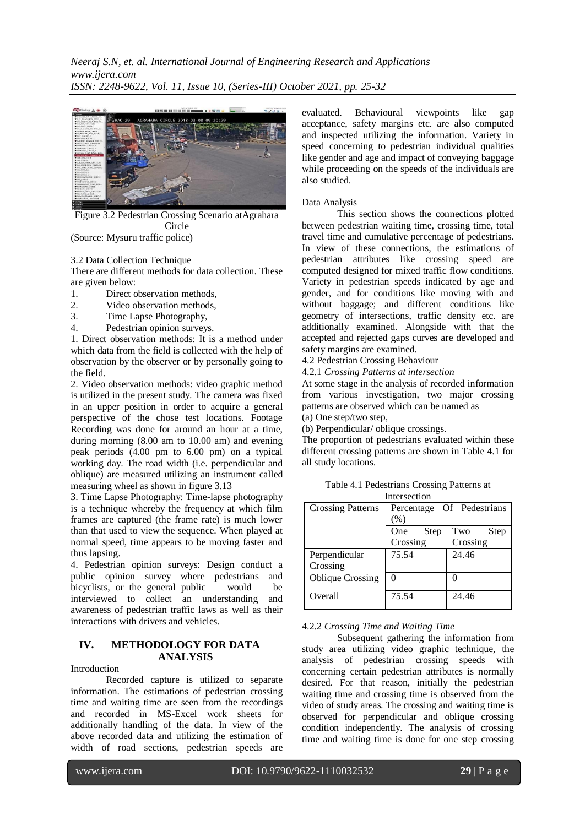*Neeraj S.N, et. al. International Journal of Engineering Research and Applications www.ijera.com ISSN: 2248-9622, Vol. 11, Issue 10, (Series-III) October 2021, pp. 25-32*



Figure 3.2 Pedestrian Crossing Scenario atAgrahara Circle

(Source: Mysuru traffic police)

3.2 Data Collection Technique

There are different methods for data collection. These are given below:

- 1. Direct observation methods,
- 2. Video observation methods,
- 3. Time Lapse Photography,
- 4. Pedestrian opinion surveys.

1. Direct observation methods: It is a method under which data from the field is collected with the help of observation by the observer or by personally going to the field.

2. Video observation methods: video graphic method is utilized in the present study. The camera was fixed in an upper position in order to acquire a general perspective of the chose test locations. Footage Recording was done for around an hour at a time, during morning (8.00 am to 10.00 am) and evening peak periods (4.00 pm to 6.00 pm) on a typical working day. The road width (i.e. perpendicular and oblique) are measured utilizing an instrument called measuring wheel as shown in figure 3.13

3. Time Lapse Photography: Time-lapse photography is a technique whereby the frequency at which film frames are captured (the frame rate) is much lower than that used to view the sequence. When played at normal speed, time appears to be moving faster and thus lapsing.

4. Pedestrian opinion surveys: Design conduct a public opinion survey where pedestrians and bicyclists, or the general public would be interviewed to collect an understanding and awareness of pedestrian traffic laws as well as their interactions with drivers and vehicles.

## **IV. METHODOLOGY FOR DATA ANALYSIS**

Introduction

Recorded capture is utilized to separate information. The estimations of pedestrian crossing time and waiting time are seen from the recordings and recorded in MS-Excel work sheets for additionally handling of the data. In view of the above recorded data and utilizing the estimation of width of road sections, pedestrian speeds are

evaluated. Behavioural viewpoints like gap acceptance, safety margins etc. are also computed and inspected utilizing the information. Variety in speed concerning to pedestrian individual qualities like gender and age and impact of conveying baggage while proceeding on the speeds of the individuals are also studied.

#### Data Analysis

This section shows the connections plotted between pedestrian waiting time, crossing time, total travel time and cumulative percentage of pedestrians. In view of these connections, the estimations of pedestrian attributes like crossing speed are computed designed for mixed traffic flow conditions. Variety in pedestrian speeds indicated by age and gender, and for conditions like moving with and without baggage; and different conditions like geometry of intersections, traffic density etc. are additionally examined. Alongside with that the accepted and rejected gaps curves are developed and safety margins are examined.

- 4.2 Pedestrian Crossing Behaviour
- 4.2.1 *Crossing Patterns at intersection*

At some stage in the analysis of recorded information from various investigation, two major crossing patterns are observed which can be named as

(a) One step/two step,

(b) Perpendicular/ oblique crossings.

The proportion of pedestrians evaluated within these different crossing patterns are shown in Table 4.1 for all study locations.

Table 4.1 Pedestrians Crossing Patterns at Intersection

| <b>Crossing Patterns</b> |                    | Percentage Of Pedestrians |
|--------------------------|--------------------|---------------------------|
|                          | (%)                |                           |
|                          | <b>Step</b><br>One | Two<br>Step               |
|                          | Crossing           | Crossing                  |
| Perpendicular            | 75.54              | 24.46                     |
| Crossing                 |                    |                           |
| <b>Oblique Crossing</b>  | 0                  |                           |
|                          |                    |                           |
| Overall                  | 75.54              | 24.46                     |
|                          |                    |                           |

#### 4.2.2 *Crossing Time and Waiting Time*

Subsequent gathering the information from study area utilizing video graphic technique, the analysis of pedestrian crossing speeds with concerning certain pedestrian attributes is normally desired. For that reason, initially the pedestrian waiting time and crossing time is observed from the video of study areas. The crossing and waiting time is observed for perpendicular and oblique crossing condition independently. The analysis of crossing time and waiting time is done for one step crossing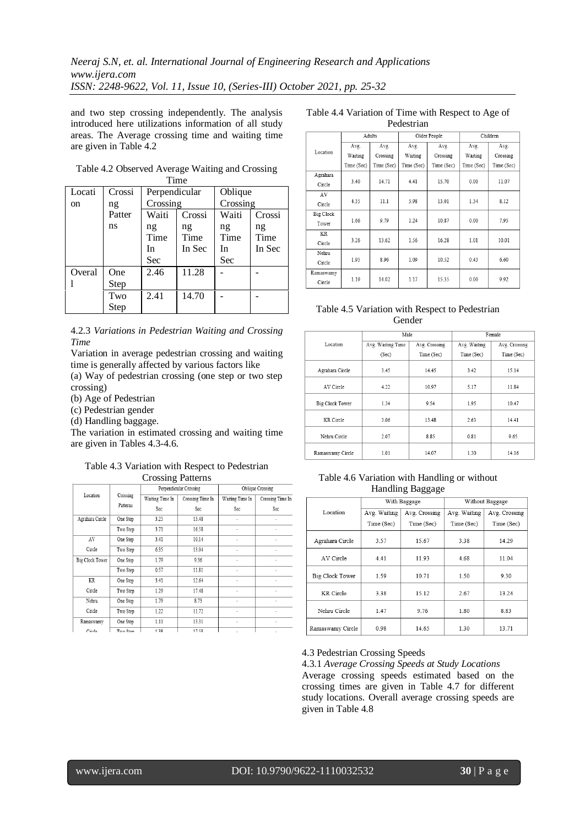and two step crossing independently. The analysis introduced here utilizations information of all study areas. The Average crossing time and waiting time are given in Table 4.2

| $\blacksquare$ |             |                         |                      |                         |                      |
|----------------|-------------|-------------------------|----------------------|-------------------------|----------------------|
| Locati         | Crossi      | Perpendicular           |                      | Oblique                 |                      |
| on             | ng          | Crossing                |                      | Crossing                |                      |
|                | Patter      | Waiti                   | Crossi               | Waiti                   | Crossi               |
|                | ns          | ng<br>Time<br>In<br>Sec | ng<br>Time<br>In Sec | ng<br>Time<br>In<br>Sec | ng<br>Time<br>In Sec |
| Overal         | One<br>Step | 2.46                    | 11.28                |                         |                      |
|                | Two<br>Step | 2.41                    | 14.70                |                         |                      |

#### Table 4.2 Observed Average Waiting and Crossing Time

## 4.2.3 *Variations in Pedestrian Waiting and Crossing Time*

Variation in average pedestrian crossing and waiting time is generally affected by various factors like

(a) Way of pedestrian crossing (one step or two step crossing)

(b) Age of Pedestrian

(c) Pedestrian gender

(d) Handling baggage.

The variation in estimated crossing and waiting time are given in Tables 4.3-4.6.

#### Table 4.3 Variation with Respect to Pedestrian Crossing Patterns

|                 |          | ▱                      |                  |                 |                  |
|-----------------|----------|------------------------|------------------|-----------------|------------------|
|                 |          | Perpendicular Crossing |                  |                 | Oblique Crossing |
| Location        | Crossing | Waiting Time In        | Crossing Time In | Waiting Time In | Crossing Time In |
|                 | Patterns | Sec                    | Sec              | Sec             | Sec              |
| Agrahara Circle | One Step | 3.25                   | 13.48            | ٠               | ٠                |
|                 | Two Step | 3.71                   | 16.58            |                 |                  |
| AV              | One Step | 3.41                   | 10.14            |                 |                  |
| Circle          | Two Step | 6.35                   | 13.04            | ٠               |                  |
| Big Clock Tower | One Step | 1.79                   | 9.36             | ٠               |                  |
|                 | Two Step | 0.57                   | 11.81            | ×               | ×                |
| KR              | One Step | 3.41                   | 12.64            | ٠               |                  |
| Circle          | Two Step | 1.29                   | 17.48            | ٠               | ۰                |
| Nehru           | One Step | 1.79                   | 8.73             |                 |                  |
| Circle          | Two Step | 1.22                   | 11.72            | ٠               |                  |
| Ramaswamy       | One Step | 1.11                   | 13.31            | ٠               |                  |
| Circle          | Two Sten | 138                    | 17.58            |                 |                  |

#### Table 4.4 Variation of Time with Respect to Age of Pedestrian

|           | Adults     |            | Older People |            | Children   |            |
|-----------|------------|------------|--------------|------------|------------|------------|
|           | Avg.       | Avg.       | Avg.         | Avg.       | Avg.       | Avg.       |
| Location  | Waiting    | Crossing   | Waiting      | Crossing   | Waiting    | Crossing   |
|           | Time (Sec) | Time (Sec) | Time (Sec)   | Time (Sec) | Time (Sec) | Time (Sec) |
| Agrahara  |            |            |              |            |            |            |
| Circle    | 3.40       | 14.71      | 4.41         | 15.70      | 0.00       | 11.07      |
| AV        |            |            |              |            |            |            |
| Circle    | 4.35       | 11.1       | 5.98         | 13.01      | 1.34       | 8.12       |
| Big Clock |            |            |              |            |            |            |
| Tower     | 1.66       | 9.79       | 1.24         | 10.87      | 0.00       | 7.95       |
| KR        |            |            |              |            |            |            |
| Circle    | 3.26       | 13.62      | 1.56         | 16.28      | 1.01       | 10.01      |
| Nehru     |            |            |              |            |            |            |
| Circle    | 1.95       | 8.96       | 1.09         | 10.52      | 0.43       | 6.60       |
| Ramaswamy |            |            |              |            |            |            |
| Circle    | 1.19       | 14.02      | 1.17         | 15.35      | 0.00       | 9.92       |

## Table 4.5 Variation with Respect to Pedestrian Gender

|                        | Male              |               | Female       |               |
|------------------------|-------------------|---------------|--------------|---------------|
| Location               | Avg. Waiting Time | Avg. Crossing | Avg. Waiting | Avg. Crossing |
|                        | (Sec)             | Time (Sec)    | Time (Sec)   | Time (Sec)    |
| Agrahara Circle        | 3.45              | 14.45         | 3.42         | 15.14         |
| AV Circle              | 4.22              | 10.97         | 5.17         | 11.84         |
| <b>Big Clock Tower</b> | 1.34              | 9.54          | 1.95         | 10.47         |
| KR Circle              | 3.06              | 13.48         | 2.63         | 14.41         |
| Nehru Circle           | 2.07              | 8.85          | 0.81         | 9.65          |
| Ramaswamy Circle       | 1.01              | 14.07         | 1.30         | 14.16         |

#### Table 4.6 Variation with Handling or without Handling Baggage

|                  |              | With Baggage  | Without Baggage |               |  |  |
|------------------|--------------|---------------|-----------------|---------------|--|--|
| Location         | Avg. Waiting | Avg. Crossing | Avg. Waiting    | Avg. Crossing |  |  |
|                  | Time (Sec)   | Time (Sec)    | Time (Sec)      | Time (Sec)    |  |  |
| Agrahara Circle  | 3.57         | 15.67         | 3.38            | 14.29         |  |  |
| AV Circle        | 4.41         | 11.93         | 4.68            | 11.04         |  |  |
| Big Clock Tower  | 1.59         | 10.71         | 1.50            | 9.30          |  |  |
| KR Circle        | 3.38         | 15.12         | 2.67            | 13.24         |  |  |
| Nehru Circle     | 1.47         | 9.76          | 1.80            | 8.83          |  |  |
| Ramaswamy Circle | 0.98         | 14.65         | 1.30            | 13.71         |  |  |

## 4.3 Pedestrian Crossing Speeds

4.3.1 *Average Crossing Speeds at Study Locations* Average crossing speeds estimated based on the crossing times are given in Table 4.7 for different study locations. Overall average crossing speeds are given in Table 4.8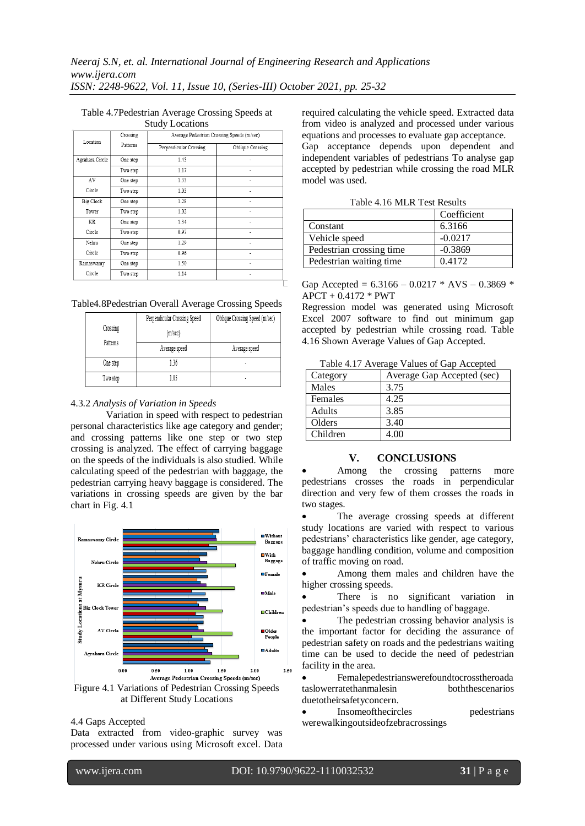#### Table 4.7Pedestrian Average Crossing Speeds at Study Locations

| Location        | Crossing | Average Pedestrian Crossing Speeds (m/sec) |                  |
|-----------------|----------|--------------------------------------------|------------------|
|                 | Patterns | Perpendicular Crossing                     | Oblique Crossing |
| Agrahara Circle | One step | 1.45                                       | ٠                |
|                 | Two step | 1.17                                       | ٠                |
| AV              | One step | 1.33                                       |                  |
| Circle          | Two step | 1.03                                       | ٠                |
| Big Clock       | One step | 1.28                                       |                  |
| Tower           | Two step | 1.02                                       | ٠                |
| KR              | One step | 1.34                                       |                  |
| Circle          | Two step | 0.97                                       | ٠                |
| Nehru           | One step | 1.29                                       |                  |
| Circle          | Two step | 0.96                                       | ٠                |
| Ramaswamy       | One step | 1.50                                       |                  |
| Circle          | Two step | 1.14                                       | ٠                |

Table4.8Pedestrian Overall Average Crossing Speeds

|          | Perpendicular Crossing Speed | Oblique Crossing Speed (m/sec) |
|----------|------------------------------|--------------------------------|
| Crossing | (m/sec)                      |                                |
| Patterns | Average speed                | Average speed                  |
| One step | 1.36                         | ٠                              |
| Two step | 1.05                         | ٠                              |

#### 4.3.2 *Analysis of Variation in Speeds*

Variation in speed with respect to pedestrian personal characteristics like age category and gender; and crossing patterns like one step or two step crossing is analyzed. The effect of carrying baggage on the speeds of the individuals is also studied. While calculating speed of the pedestrian with baggage, the pedestrian carrying heavy baggage is considered. The variations in crossing speeds are given by the bar chart in Fig. 4.1



## 4.4 Gaps Accepted

Data extracted from video-graphic survey was processed under various using Microsoft excel. Data required calculating the vehicle speed. Extracted data from video is analyzed and processed under various equations and processes to evaluate gap acceptance. Gap acceptance depends upon dependent and independent variables of pedestrians To analyse gap accepted by pedestrian while crossing the road MLR model was used.

| Table 4.10 MLK Test Results |             |  |  |  |
|-----------------------------|-------------|--|--|--|
|                             | Coefficient |  |  |  |
| Constant                    | 6.3166      |  |  |  |
| Vehicle speed               | $-0.0217$   |  |  |  |
| Pedestrian crossing time    | $-0.3869$   |  |  |  |
| Pedestrian waiting time     | 0.4172      |  |  |  |

 $T$  11.416 MRR  $\overline{D}$  1.

Gap Accepted =  $6.3166 - 0.0217 * AVS - 0.3869 *$ APCT + 0.4172 \* PWT

Regression model was generated using Microsoft Excel 2007 software to find out minimum gap accepted by pedestrian while crossing road. Table 4.16 Shown Average Values of Gap Accepted.

Table 4.17 Average Values of Gap Accepted

| Category | Average Gap Accepted (sec) |
|----------|----------------------------|
| Males    | 3.75                       |
| Females  | 4.25                       |
| Adults   | 3.85                       |
| Olders   | 3.40                       |
| Children |                            |

## **V. CONCLUSIONS**

 Among the crossing patterns more pedestrians crosses the roads in perpendicular direction and very few of them crosses the roads in two stages.

 The average crossing speeds at different study locations are varied with respect to various pedestrians' characteristics like gender, age category, baggage handling condition, volume and composition of traffic moving on road.

 Among them males and children have the higher crossing speeds.

 There is no significant variation in pedestrian's speeds due to handling of baggage.

 The pedestrian crossing behavior analysis is the important factor for deciding the assurance of pedestrian safety on roads and the pedestrians waiting time can be used to decide the need of pedestrian facility in the area.

 Femalepedestrianswerefoundtocrosstheroada taslowerratethanmalesin boththescenarios duetotheirsafetyconcern.

• Insomeofthecircles pedestrians werewalkingoutsideofzebracrossings